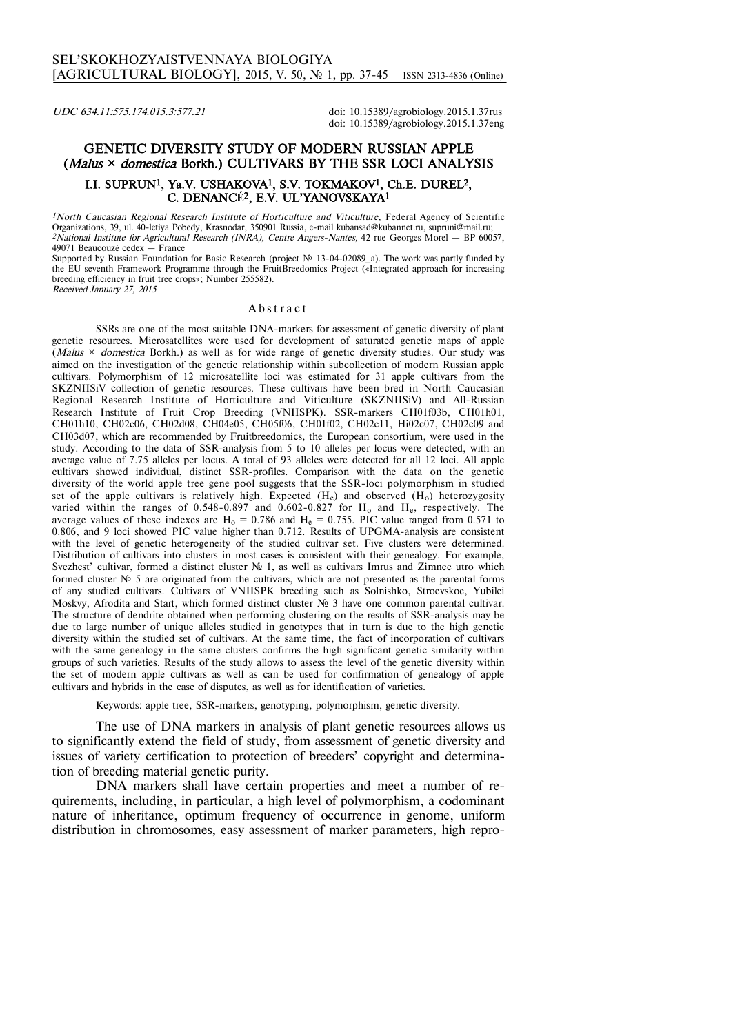*UDC 634.11:575.174.015.3:577.21* doi:10.15389/agrobiology.2015.1.37rus doi: 10.15389/agrobiology.2015.1.37eng

## **GENETIC DIVERSITY STUDY OF MODERN RUSSIAN APPLE (***Malus* **½** *domestica* **Borkh.) CULTIVARS BY THE SSR LOCI ANALYSIS**

## **I.I. SUPRUN1, Ya.V. USHAKOVA1, S.V. TOKMAKOV1, Ch.E. DUREL2, C. DENANСÉ2, E.V. UL'YANOVSKAYA<sup>1</sup>**

<sup>1</sup>*North Caucasian Regional Research Institute of Horticulture and Viticulture, Federal Agency of Scientific* Organizations, 39, ul. 40-letiya Pobedy, Krasnodar, 350901 Russia, e-mail kubansad@kubannet.ru, supruni@mail.ru; *<sup>2</sup>National Institute for Agricultural Research (INRA), Centre Angers-Nantes,* 42 rue Georges Morel — BP 60057, 49071 Beaucouzé cedex — France

Supported by Russian Foundation for Basic Research (project № 13-04-02089\_a). The work was partly funded by the EU seventh Framework Programme through the FruitBreedomics Project («Integrated approach for increasing breeding efficiency in fruit tree crops»; Number 255582). *Received January 27, 2015*

## A b s t r a c t

SSRs are one of the most suitable DNA-markers for assessment of genetic diversity of plant genetic resources. Microsatellites were used for development of saturated genetic maps of apple (*Malus* ½ *domestica* Borkh.) as well as for wide range of genetic diversity studies. Our study was aimed on the investigation of the genetic relationship within subcollection of modern Russian apple cultivars. Polymorphism of 12 microsatellite loci was estimated for 31 apple cultivars from the SKZNIISiV collection of genetic resources. These cultivars have been bred in North Caucasian Regional Research Institute of Horticulture and Viticulture (SKZNIISiV) and All-Russian Research Institute of Fruit Crop Breeding (VNIISPK). SSR-markers CH01f03b, CH01h01, CH01h10, CH02c06, CH02d08, CH04e05, CH05f06, CH01f02, CH02c11, Hi02c07, CH02c09 and CH03d07, which are recommended by Fruitbreedomics, the European consortium, were used in the study. According to the data of SSR-analysis from 5 to 10 alleles per locus were detected, with an average value of 7.75 alleles per locus. A total of 93 alleles were detected for all 12 loci. All apple cultivars showed individual, distinct SSR-profiles. Comparison with the data on the genetic diversity of the world apple tree gene pool suggests that the SSR-loci polymorphism in studied set of the apple cultivars is relatively high. Expected  $(H_e)$  and observed  $(H_o)$  heterozygosity varied within the ranges of  $0.548-0.897$  and  $0.602-0.827$  for  $H_0$  and  $H_c$ , respectively. The average values of these indexes are  $H_0 = 0.786$  and  $H_e = 0.755$ . PIC value ranged from 0.571 to 0.806, and 9 loci showed PIC value higher than 0.712. Results of UPGMA-analysis are consistent with the level of genetic heterogeneity of the studied cultivar set. Five clusters were determined. Distribution of cultivars into clusters in most cases is consistent with their genealogy. For example, Svezhest' cultivar, formed a distinct cluster  $N<sub>2</sub>$  1, as well as cultivars Imrus and Zimnee utro which formed cluster  $N_e$  5 are originated from the cultivars, which are not presented as the parental forms of any studied cultivars. Cultivars of VNIISPK breeding such as Solnishko, Stroevskoe, Yubilei Moskvy, Afrodita and Start, which formed distinct cluster  $N_{\epsilon}$  3 have one common parental cultivar. The structure of dendrite obtained when performing clustering on the results of SSR-analysis may be due to large number of unique alleles studied in genotypes that in turn is due to the high genetic diversity within the studied set of cultivars. At the same time, the fact of incorporation of cultivars with the same genealogy in the same clusters confirms the high significant genetic similarity within groups of such varieties. Results of the study allows to assess the level of the genetic diversity within the set of modern apple cultivars as well as can be used for confirmation of genealogy of apple cultivars and hybrids in the case of disputes, as well as for identification of varieties.

Keywords: apple tree, SSR-markers, genotyping, polymorphism, genetic diversity.

The use of DNA markers in analysis of plant genetic resources allows us to significantly extend the field of study, from assessment of genetic diversity and issues of variety certification to protection of breeders' copyright and determination of breeding material genetic purity.

DNA markers shall have certain properties and meet a number of requirements, including, in particular, a high level of polymorphism, a codominant nature of inheritance, optimum frequency of occurrence in genome, uniform distribution in chromosomes, easy assessment of marker parameters, high repro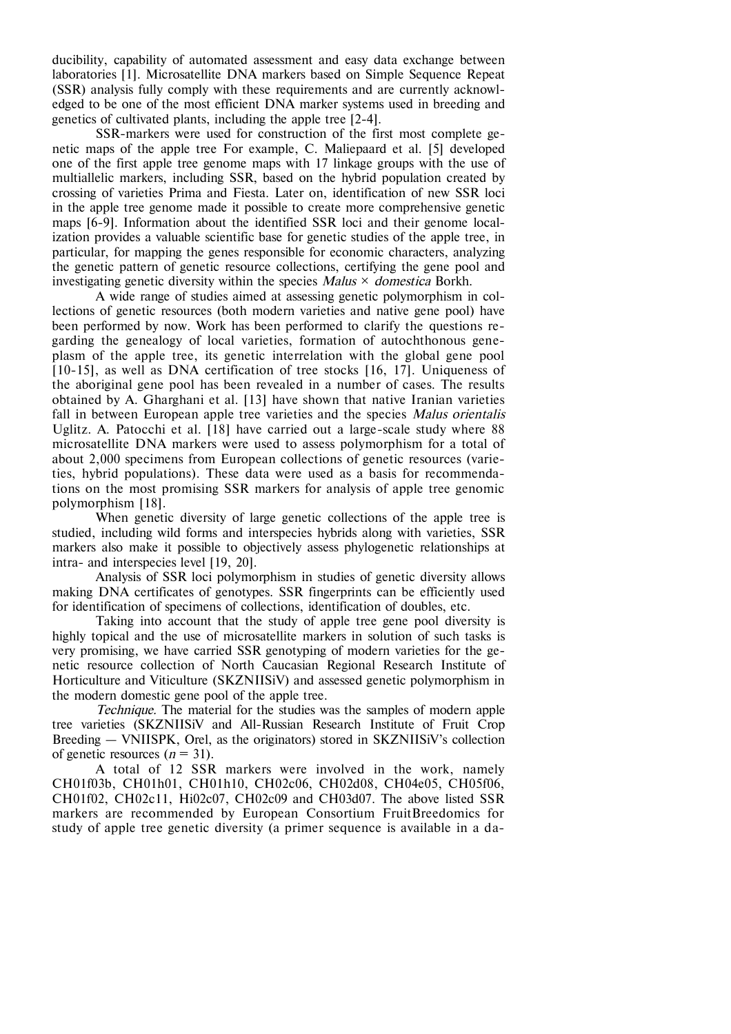ducibility, capability of automated assessment and easy data exchange between laboratories [1]. Microsatellite DNA markers based on Simple Sequence Repeat (SSR) analysis fully comply with these requirements and are currently acknowledged to be one of the most efficient DNA marker systems used in breeding and genetics of cultivated plants, including the apple tree [2-4].

SSR-markers were used for construction of the first most complete genetic maps of the apple tree For example, C. Maliepaard et al. [5] developed one of the first apple tree genome maps with 17 linkage groups with the use of multiallelic markers, including SSR, based on the hybrid population created by crossing of varieties Prima and Fiesta. Later on, identification of new SSR loci in the apple tree genome made it possible to create more comprehensive genetic maps [6-9]. Information about the identified SSR loci and their genome localization provides a valuable scientific base for genetic studies of the apple tree, in particular, for mapping the genes responsible for economic characters, analyzing the genetic pattern of genetic resource collections, certifying the gene pool and investigating genetic diversity within the species *Malus*  $\times$  *domestica* Borkh.

A wide range of studies aimed at assessing genetic polymorphism in collections of genetic resources (both modern varieties and native gene pool) have been performed by now. Work has been performed to clarify the questions regarding the genealogy of local varieties, formation of autochthonous geneplasm of the apple tree, its genetic interrelation with the global gene pool [10-15], as well as DNA certification of tree stocks [16, 17]. Uniqueness of the aboriginal gene pool has been revealed in a number of cases. The results obtained by A. Gharghani et al. [13] have shown that native Iranian varieties fall in between European apple tree varieties and the species *Malus orientalis* Uglitz. A. Patocchi et al. [18] have carried out a large-scale study where 88 microsatellite DNA markers were used to assess polymorphism for a total of about 2,000 specimens from European collections of genetic resources (varieties, hybrid populations). These data were used as a basis for recommendations on the most promising SSR markers for analysis of apple tree genomic polymorphism [18].

When genetic diversity of large genetic collections of the apple tree is studied, including wild forms and interspecies hybrids along with varieties, SSR markers also make it possible to objectively assess phylogenetic relationships at intra- and interspecies level [19, 20].

Analysis of SSR loci polymorphism in studies of genetic diversity allows making DNA certificates of genotypes. SSR fingerprints can be efficiently used for identification of specimens of collections, identification of doubles, etc.

Taking into account that the study of apple tree gene pool diversity is highly topical and the use of microsatellite markers in solution of such tasks is very promising, we have carried SSR genotyping of modern varieties for the genetic resource collection of North Caucasian Regional Research Institute of Horticulture and Viticulture (SKZNIISiV) and assessed genetic polymorphism in the modern domestic gene pool of the apple tree.

*Technique.*The material for the studies was the samples of modern apple tree varieties (SKZNIISiV and All-Russian Research Institute of Fruit Crop Breeding — VNIISPK, Orel, as the originators) stored in SKZNIISiV's collection of genetic resources  $(n = 31)$ .

A total of 12 SSR markers were involved in the work, namely CH01f03b, CH01h01, CH01h10, CH02c06, CH02d08, CH04e05, CH05f06, CH01f02, CH02c11, Hi02c07, CH02c09 and CH03d07. The above listed SSR markers are recommended by European Consortium FruitBreedomics for study of apple tree genetic diversity (a primer sequence is available in a da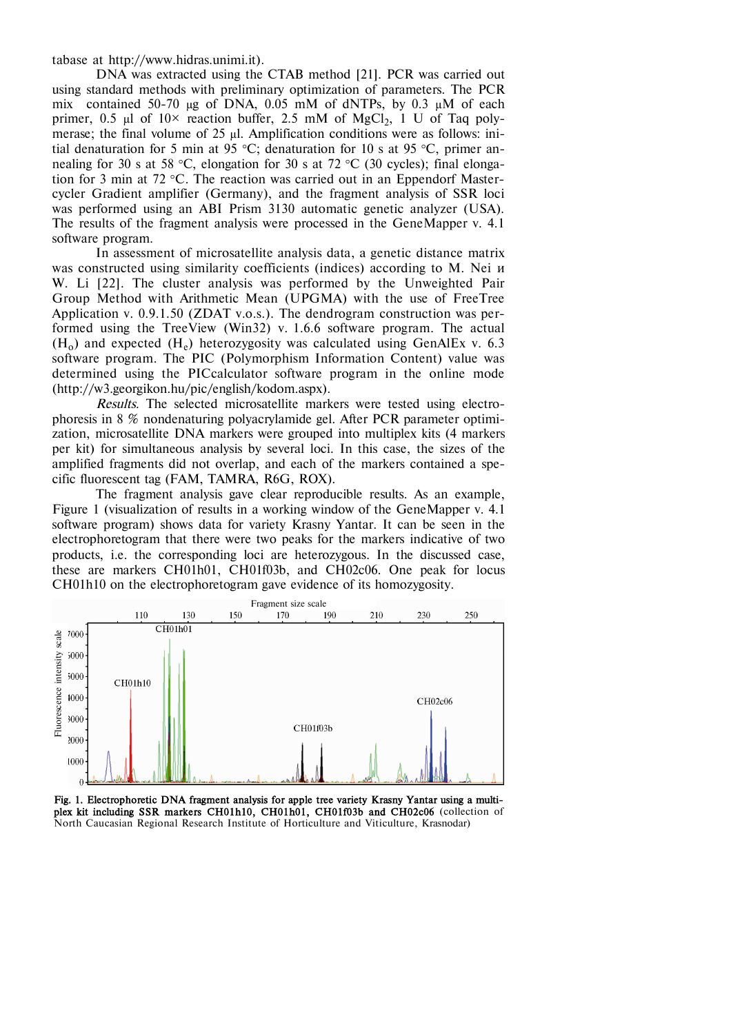tabase at http://www.hidras.unimi.it).

DNA was extracted using the CTAB method [21]. PCR was carried out using standard methods with preliminary optimization of parameters. The PCR mix contained 50-70 µg of DNA, 0.05 mM of dNTPs, by 0.3 µM of each primer, 0.5  $\mu$ l of 10× reaction buffer, 2.5 mM of MgCl<sub>2</sub>, 1 U of Taq polymerase; the final volume of 25 µl. Amplification conditions were as follows: initial denaturation for 5 min at 95 °C; denaturation for 10 s at 95 °C, primer annealing for 30 s at 58 °C, elongation for 30 s at 72 °C (30 cycles); final elongation for 3 min at 72 °C. The reaction was carried out in an Eppendorf Mastercycler Gradient amplifier (Germany), and the fragment analysis of SSR loci was performed using an ABI Prism 3130 automatic genetic analyzer (USA). The results of the fragment analysis were processed in the GeneMapper v. 4.1 software program.

In assessment of microsatellite analysis data, a genetic distance matrix was constructed using similarity coefficients (indices) according to M. Nei и W. Li [22]. The cluster analysis was performed by the Unweighted Pair Group Method with Arithmetic Mean (UPGMA) with the use of FreeTree Application v. 0.9.1.50 (ZDAT v.o.s.). The dendrogram construction was performed using the TreeView (Win32) v. 1.6.6 software program. The actual  $(H<sub>o</sub>)$  and expected  $(H<sub>e</sub>)$  heterozygosity was calculated using GenAlEx v. 6.3 software program. The PIC (Polymorphism Information Content) value was determined using the PICcalculator software program in the online mode (http://w3.georgikon.hu/pic/english/kodom.aspx).

*Results.* The selected microsatellite markers were tested using electrophoresis in 8 % nondenaturing polyacrylamide gel. After PCR parameter optimization, microsatellite DNA markers were grouped into multiplex kits (4 markers per kit) for simultaneous analysis by several loci. In this case, the sizes of the amplified fragments did not overlap, and each of the markers contained a specific fluorescent tag (FAM, TAMRA, R6G, ROX).

The fragment analysis gave clear reproducible results. As an example, Figure 1 (visualization of results in a working window of the GeneMapper v. 4.1 software program) shows data for variety Krasny Yantar. It can be seen in the electrophoretogram that there were two peaks for the markers indicative of two products, i.e. the corresponding loci are heterozygous. In the discussed case, these are markers CH01h01, CH01f03b, and CH02c06. One peak for locus CH01h10 on the electrophoretogram gave evidence of its homozygosity.



**Fig. 1. Electrophoretic DNA fragment analysis for apple tree variety Krasny Yantar using a multiplex kit including SSR markers CH01h10, CH01h01, CH01f03b and CH02c06** (collection of North Caucasian Regional Research Institute of Horticulture and Viticulture, Krasnodar)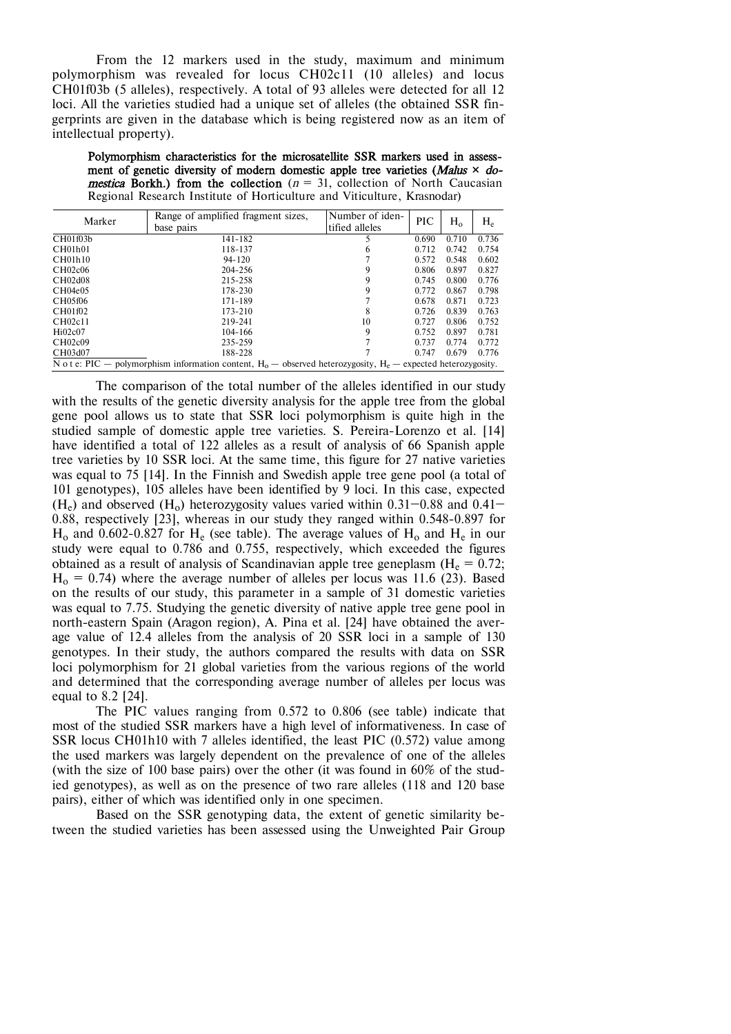From the 12 markers used in the study, maximum and minimum polymorphism was revealed for locus CH02c11 (10 alleles) and locus CH01f03b (5 alleles), respectively. A total of 93 alleles were detected for all 12 loci. All the varieties studied had a unique set of alleles (the obtained SSR fingerprints are given in the database which is being registered now as an item of intellectual property).

**Polymorphism characteristics for the microsatellite SSR markers used in assess**ment of genetic diversity of modern domestic apple tree varieties (*Malus*  $\times$  *domestica* Borkh.) from the collection  $(n = 31)$ , collection of North Caucasian Regional Research Institute of Horticulture and Viticulture, Krasnodar)

| Marker                                                                                                             | Range of amplified fragment sizes,<br>base pairs | Number of iden-<br>tified alleles | <b>PIC</b> | $H_0$ | $H_e$ |
|--------------------------------------------------------------------------------------------------------------------|--------------------------------------------------|-----------------------------------|------------|-------|-------|
| CH01f03h                                                                                                           | 141-182                                          | 5                                 | 0.690      | 0.710 | 0.736 |
| CH <sub>01h01</sub>                                                                                                | 118-137                                          | 6                                 | 0.712      | 0.742 | 0.754 |
| CH <sub>01h10</sub>                                                                                                | $94 - 120$                                       |                                   | 0.572      | 0.548 | 0.602 |
| CH02c06                                                                                                            | 204-256                                          | 9                                 | 0.806      | 0.897 | 0.827 |
| CH02d08                                                                                                            | 215-258                                          | 9                                 | 0.745      | 0.800 | 0.776 |
| CH04e05                                                                                                            | 178-230                                          | 9                                 | 0.772      | 0.867 | 0.798 |
| CH05f06                                                                                                            | $171 - 189$                                      |                                   | 0.678      | 0.871 | 0.723 |
| CH <sub>01f02</sub>                                                                                                | $173 - 210$                                      | 8                                 | 0.726      | 0.839 | 0.763 |
| CH02c11                                                                                                            | 219-241                                          | 10                                | 0.727      | 0.806 | 0.752 |
| Hi02c07                                                                                                            | $104 - 166$                                      | 9                                 | 0.752      | 0.897 | 0.781 |
| CH02c09                                                                                                            | 235-259                                          |                                   | 0.737      | 0.774 | 0.772 |
| CH03d07                                                                                                            | 188-228                                          |                                   | 0.747      | 0.679 | 0.776 |
| N o t e: PIC — polymorphism information content, $H_0$ — observed heterozygosity, $H_e$ — expected heterozygosity. |                                                  |                                   |            |       |       |

The comparison of the total number of the alleles identified in our study with the results of the genetic diversity analysis for the apple tree from the global gene pool allows us to state that SSR loci polymorphism is quite high in the studied sample of domestic apple tree varieties. S. Pereira-Lorenzo et al. [14] have identified a total of 122 alleles as a result of analysis of 66 Spanish apple tree varieties by 10 SSR loci. At the same time, this figure for 27 native varieties was equal to 75 [14]. In the Finnish and Swedish apple tree gene pool (a total of 101 genotypes), 105 alleles have been identified by 9 loci. In this case, expected  $(H_e)$  and observed  $(H_o)$  heterozygosity values varied within 0.31–0.88 and 0.41– 0.88, respectively [23], whereas in our study they ranged within 0.548-0.897 for  $H_0$  and 0.602-0.827 for  $H_e$  (see table). The average values of  $H_0$  and  $H_e$  in our study were equal to 0.786 and 0.755, respectively, which exceeded the figures obtained as a result of analysis of Scandinavian apple tree geneplasm ( $H_e = 0.72$ ;  $H<sub>o</sub> = 0.74$ ) where the average number of alleles per locus was 11.6 (23). Based on the results of our study, this parameter in a sample of 31 domestic varieties was equal to 7.75. Studying the genetic diversity of native apple tree gene pool in north-eastern Spain (Aragon region), A. Pina et al. [24] have obtained the average value of 12.4 alleles from the analysis of 20 SSR loci in a sample of 130 genotypes. In their study, the authors compared the results with data on SSR loci polymorphism for 21 global varieties from the various regions of the world and determined that the corresponding average number of alleles per locus was equal to 8.2 [24].

The PIC values ranging from 0.572 to 0.806 (see table) indicate that most of the studied SSR markers have a high level of informativeness. In case of SSR locus CH01h10 with 7 alleles identified, the least PIC (0.572) value among the used markers was largely dependent on the prevalence of one of the alleles (with the size of 100 base pairs) over the other (it was found in 60% of the studied genotypes), as well as on the presence of two rare alleles (118 and 120 base pairs), either of which was identified only in one specimen.

Based on the SSR genotyping data, the extent of genetic similarity between the studied varieties has been assessed using the Unweighted Pair Group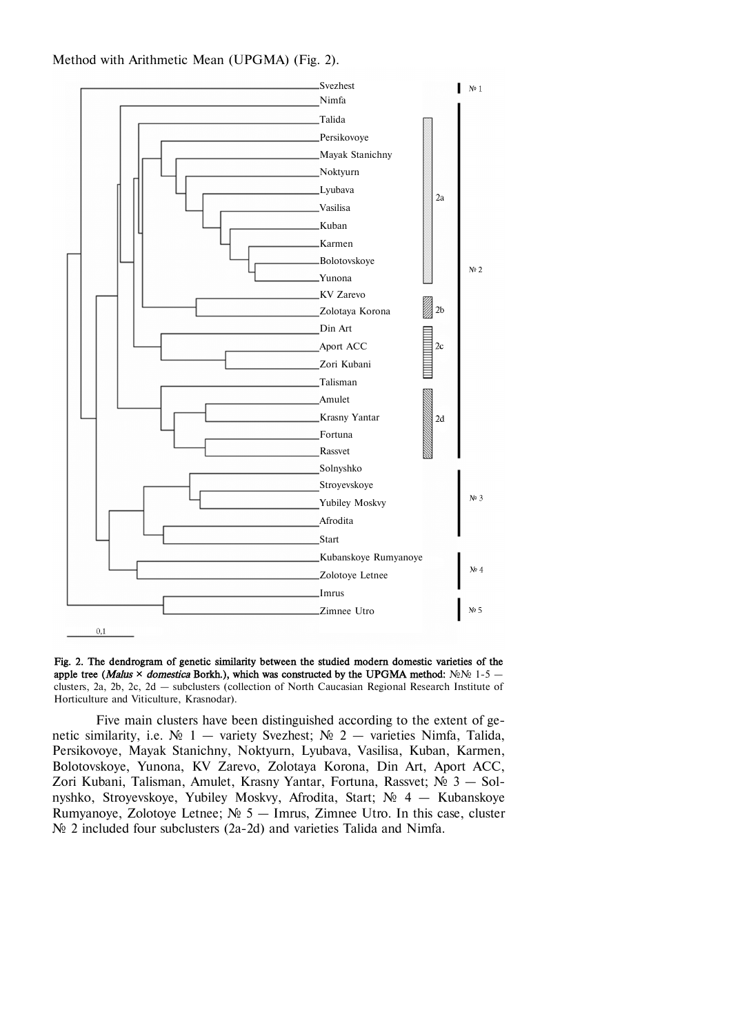Method with Arithmetic Mean (UPGMA) (Fig. 2).



**Fig. 2. The dendrogram of genetic similarity between the studied modern domestic varieties of the**  apple tree (*Malus*  $\times$  *domestica* Borkh.), which was constructed by the UPGMA method:  $N_{\text{e}}N_{\text{e}}$  1-5 clusters, 2a, 2b, 2c, 2d — subclusters (collection of North Caucasian Regional Research Institute of Horticulture and Viticulture, Krasnodar).

Five main clusters have been distinguished according to the extent of genetic similarity, i.e.  $N_2$  1 — variety Svezhest;  $N_2$  2 — varieties Nimfa, Talida, Persikovoye, Mayak Stanichny, Noktyurn, Lyubava, Vasilisa, Kuban, Karmen, Bolotovskoye, Yunona, KV Zarevo, Zolotaya Korona, Din Art, Aport ACC, Zori Kubani, Talisman, Amulet, Krasny Yantar, Fortuna, Rassvet;  $N_2$  3 - Solnyshko, Stroyevskoye, Yubiley Moskvy, Afrodita, Start; № 4 — Kubanskoye Rumyanoye, Zolotoye Letnee;  $N_2$  5 – Imrus, Zimnee Utro. In this case, cluster  $\mathbb{N}_{2}$  2 included four subclusters (2a-2d) and varieties Talida and Nimfa.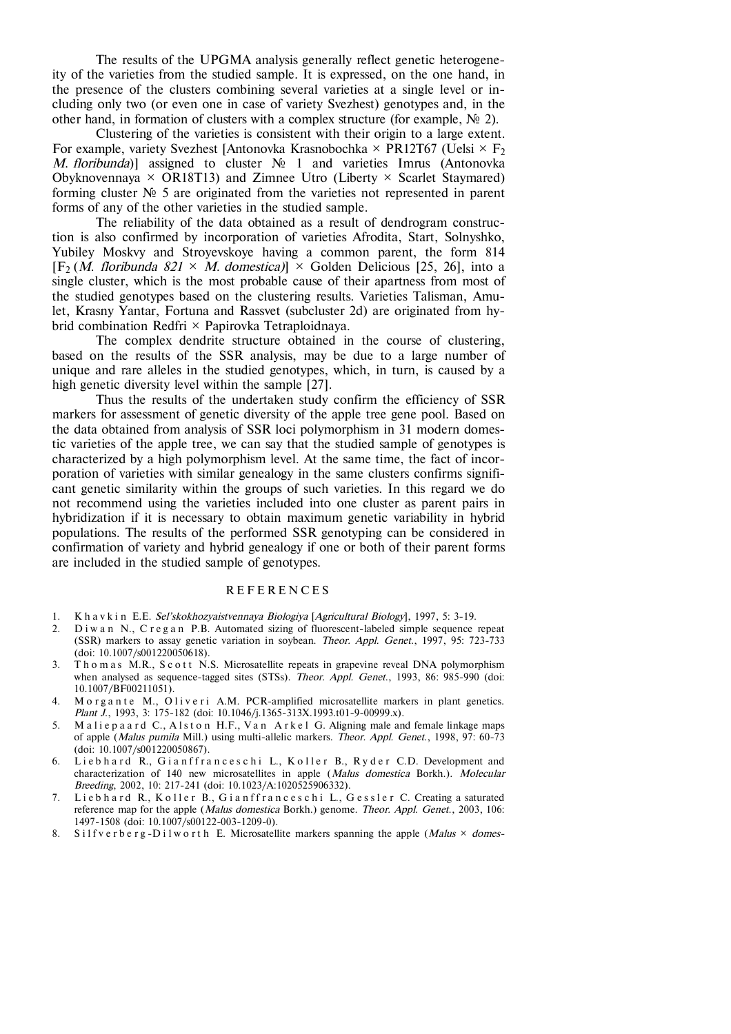The results of the UPGMA analysis generally reflect genetic heterogeneity of the varieties from the studied sample. It is expressed, on the one hand, in the presence of the clusters combining several varieties at a single level or including only two (or even one in case of variety Svezhest) genotypes and, in the other hand, in formation of clusters with a complex structure (for example,  $N_2$  2).

Clustering of the varieties is consistent with their origin to a large extent. For example, variety Svezhest [Antonovka Krasnobochka  $\times$  PR12T67 (Uelsi  $\times$  F<sub>2</sub>) *M. floribunda*)] assigned to cluster  $\mathbb{N}^{\circ}$  1 and varieties Imrus (Antonovka Obyknovennaya  $\times$  OR18T13) and Zimnee Utro (Liberty  $\times$  Scarlet Staymared) forming cluster  $\mathcal{N}_{\mathbb{P}}$  5 are originated from the varieties not represented in parent forms of any of the other varieties in the studied sample.

The reliability of the data obtained as a result of dendrogram construction is also confirmed by incorporation of varieties Afrodita, Start, Solnyshko, Yubiley Moskvy and Stroyevskoye having a common parent, the form 814  $[F_2(M.$  *floribunda 821*  $\times$  *M. domestica*)]  $\times$  Golden Delicious [25, 26], into a single cluster, which is the most probable cause of their apartness from most of the studied genotypes based on the clustering results. Varieties Talisman, Amulet, Krasny Yantar, Fortuna and Rassvet (subcluster 2d) are originated from hybrid combination Redfri ½ Papirovka Tetraploidnaya.

The complex dendrite structure obtained in the course of clustering, based on the results of the SSR analysis, may be due to a large number of unique and rare alleles in the studied genotypes, which, in turn, is caused by a high genetic diversity level within the sample [27].

Thus the results of the undertaken study confirm the efficiency of SSR markers for assessment of genetic diversity of the apple tree gene pool. Based on the data obtained from analysis of SSR loci polymorphism in 31 modern domestic varieties of the apple tree, we can say that the studied sample of genotypes is characterized by a high polymorphism level. At the same time, the fact of incorporation of varieties with similar genealogy in the same clusters confirms significant genetic similarity within the groups of such varieties. In this regard we do not recommend using the varieties included into one cluster as parent pairs in hybridization if it is necessary to obtain maximum genetic variability in hybrid populations. The results of the performed SSR genotyping can be considered in confirmation of variety and hybrid genealogy if one or both of their parent forms are included in the studied sample of genotypes.

## **REFERENCES**

- 1. K h a v k i n E.E. *Sel'skokhozyaistvennaya Biologiya* [*Agricultural Biology*], 1997, 5: 3-19.
- 2. D i w a n N., C r e g a n P.B. Automated sizing of fluorescent-labeled simple sequence repeat (SSR) markers to assay genetic variation in soybean. *Theor. Appl. Genet*., 1997, 95: 723-733 (doi: 10.1007/s001220050618).
- 3. Thomas M.R., Scott N.S. Microsatellite repeats in grapevine reveal DNA polymorphism when analysed as sequence-tagged sites (STSs). *Theor. Appl. Genet*., 1993, 86: 985-990 (doi: 10.1007/BF00211051).
- 4. M o r g a n t e M., O l i v e r i A.M. PCR-amplified microsatellite markers in plant genetics. *Plant J.*, 1993, 3: 175-182 (doi: 10.1046/j.1365-313X.1993.t01-9-00999.x).
- 5. Maliepaard C., Alston H.F., Van Arkel G. Aligning male and female linkage maps of apple (*Malus pumila* Mill.) using multi-allelic markers. *Theor. Appl. Genet*., 1998, 97: 60-73 (doi: 10.1007/s001220050867).
- 6. Liebhard R., Gianffranceschi L., Koller B., Ryder C.D. Development and characterization of 140 new microsatellites in apple (*Malus domestica* Borkh.). *Molecular Breeding*, 2002, 10: 217-241 (doi: 10.1023/A:1020525906332).
- 7. Liebhard R., Koller B., Gianffranceschi L., Gessler C. Creating a saturated reference map for the apple (*Malus domestica* Borkh.) genome. *Theor. Appl. Genet*., 2003, 106: 1497-1508 (doi: 10.1007/s00122-003-1209-0).
- 8. Silfverberg-Dilworth E. Microsatellite markers spanning the apple (*Malus* × *domes-*